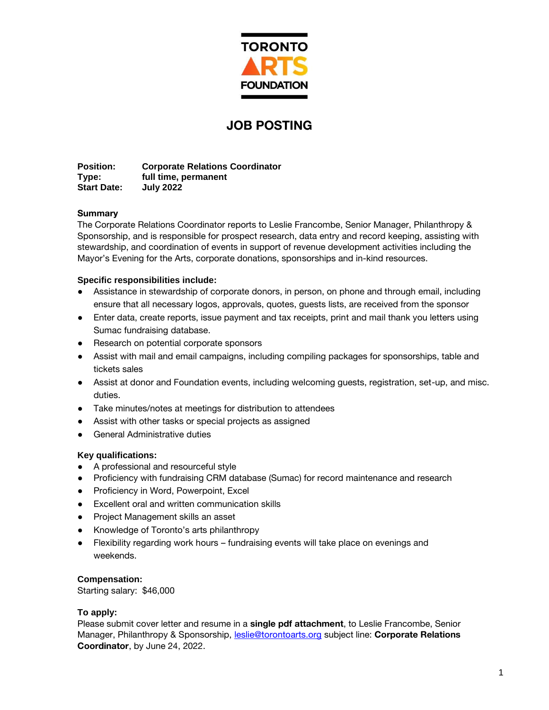

# **JOB POSTING**

**Position: Corporate Relations Coordinator Type: full time, permanent Start Date: July 2022**

# **Summary**

The Corporate Relations Coordinator reports to Leslie Francombe, Senior Manager, Philanthropy & Sponsorship, and is responsible for prospect research, data entry and record keeping, assisting with stewardship, and coordination of events in support of revenue development activities including the Mayor's Evening for the Arts, corporate donations, sponsorships and in-kind resources.

# **Specific responsibilities include:**

- Assistance in stewardship of corporate donors, in person, on phone and through email, including ensure that all necessary logos, approvals, quotes, guests lists, are received from the sponsor
- Enter data, create reports, issue payment and tax receipts, print and mail thank you letters using Sumac fundraising database.
- Research on potential corporate sponsors
- Assist with mail and email campaigns, including compiling packages for sponsorships, table and tickets sales
- Assist at donor and Foundation events, including welcoming guests, registration, set-up, and misc. duties.
- Take minutes/notes at meetings for distribution to attendees
- Assist with other tasks or special projects as assigned
- **General Administrative duties**

# **Key qualifications:**

- A professional and resourceful style
- Proficiency with fundraising CRM database (Sumac) for record maintenance and research
- Proficiency in Word, Powerpoint, Excel
- Excellent oral and written communication skills
- Project Management skills an asset
- Knowledge of Toronto's arts philanthropy
- Flexibility regarding work hours fundraising events will take place on evenings and weekends.

# **Compensation:**

Starting salary: \$46,000

# **To apply:**

Please submit cover letter and resume in a **single pdf attachment**, to Leslie Francombe, Senior Manager, Philanthropy & Sponsorship, [leslie@torontoarts.org](mailto:leslie@torontoarts.org) subject line: **Corporate Relations Coordinator**, by June 24, 2022.